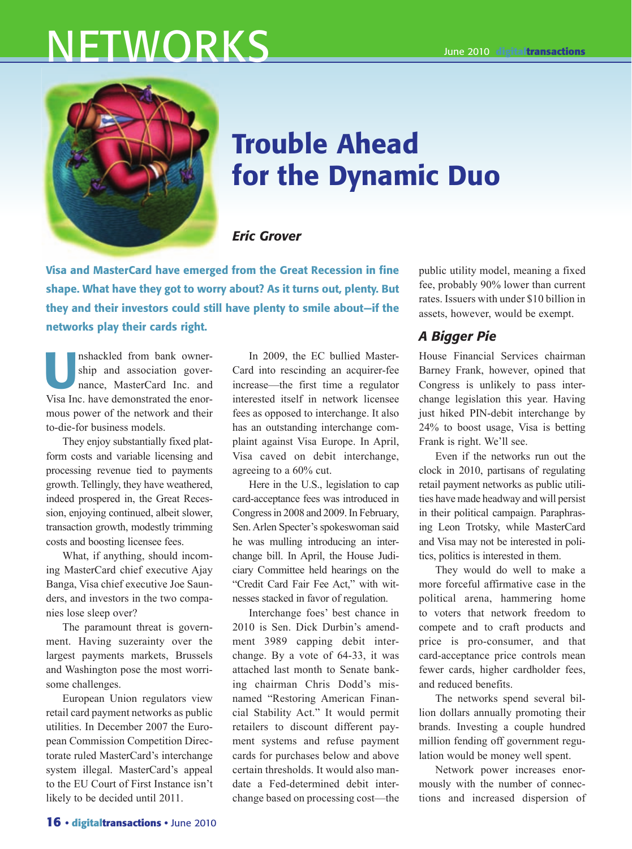# NETWORKS



# Trouble Ahead for the Dynamic Duo

#### *Eric Grover*

Visa and MasterCard have emerged from the Great Recession in fine shape. What have they got to worry about? As it turns out, plenty. But they and their investors could still have plenty to smile about—if the networks play their cards right.

Inshackled from bank owner-<br>ship and association gover-<br>nance, MasterCard Inc. and<br>Mise Inc. have demonstrated the ener ship and association governance, MasterCard Inc. and Visa Inc. have demonstrated the enormous power of the network and their to-die-for business models.

They enjoy substantially fixed platform costs and variable licensing and processing revenue tied to payments growth. Tellingly, they have weathered, indeed prospered in, the Great Recession, enjoying continued, albeit slower, transaction growth, modestly trimming costs and boosting licensee fees.

What, if anything, should incoming MasterCard chief executive Ajay Banga, Visa chief executive Joe Saunders, and investors in the two companies lose sleep over?

The paramount threat is government. Having suzerainty over the largest payments markets, Brussels and Washington pose the most worrisome challenges.

European Union regulators view retail card payment networks as public utilities. In December 2007 the European Commission Competition Directorate ruled MasterCard's interchange system illegal. MasterCard's appeal to the EU Court of First Instance isn't likely to be decided until 2011.

In 2009, the EC bullied Master-Card into rescinding an acquirer-fee increase—the first time a regulator interested itself in network licensee fees as opposed to interchange. It also has an outstanding interchange complaint against Visa Europe. In April, Visa caved on debit interchange, agreeing to a 60% cut.

Here in the U.S., legislation to cap card-acceptance fees was introduced in Congress in 2008 and 2009. In February, Sen. Arlen Specter's spokeswoman said he was mulling introducing an interchange bill. In April, the House Judiciary Committee held hearings on the "Credit Card Fair Fee Act," with witnesses stacked in favor of regulation.

Interchange foes' best chance in 2010 is Sen. Dick Durbin's amendment 3989 capping debit interchange. By a vote of 64-33, it was attached last month to Senate banking chairman Chris Dodd's misnamed "Restoring American Financial Stability Act." It would permit retailers to discount different payment systems and refuse payment cards for purchases below and above certain thresholds. It would also mandate a Fed-determined debit interchange based on processing cost—the

public utility model, meaning a fixed fee, probably 90% lower than current rates. Issuers with under \$10 billion in assets, however, would be exempt.

# *A Bigger Pie*

House Financial Services chairman Barney Frank, however, opined that Congress is unlikely to pass interchange legislation this year. Having just hiked PIN-debit interchange by 24% to boost usage, Visa is betting Frank is right. We'll see.

Even if the networks run out the clock in 2010, partisans of regulating retail payment networks as public utilities have made headway and will persist in their political campaign. Paraphrasing Leon Trotsky, while MasterCard and Visa may not be interested in politics, politics is interested in them.

They would do well to make a more forceful affirmative case in the political arena, hammering home to voters that network freedom to compete and to craft products and price is pro-consumer, and that card-acceptance price controls mean fewer cards, higher cardholder fees, and reduced benefits.

The networks spend several billion dollars annually promoting their brands. Investing a couple hundred million fending off government regulation would be money well spent.

Network power increases enormously with the number of connections and increased dispersion of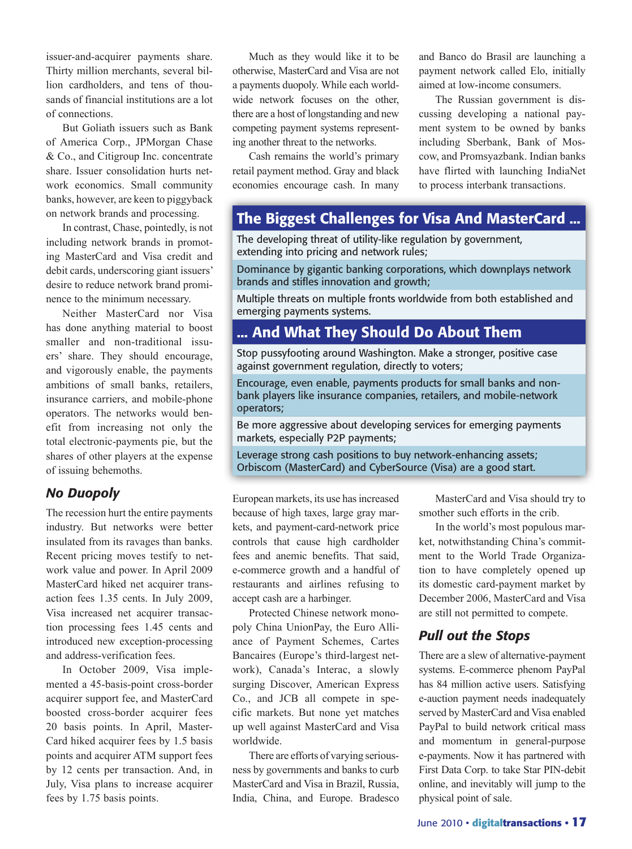issuer-and-acquirer payments share. Thirty million merchants, several billion cardholders, and tens of thousands of financial institutions are a lot of connections.

But Goliath issuers such as Bank of America Corp., JPMorgan Chase & Co., and Citigroup Inc. concentrate share. Issuer consolidation hurts network economics. Small community banks, however, are keen to piggyback on network brands and processing.

In contrast, Chase, pointedly, is not including network brands in promoting MasterCard and Visa credit and debit cards, underscoring giant issuers' desire to reduce network brand prominence to the minimum necessary.

Neither MasterCard nor Visa has done anything material to boost smaller and non-traditional issuers' share. They should encourage, and vigorously enable, the payments ambitions of small banks, retailers, insurance carriers, and mobile-phone operators. The networks would benefit from increasing not only the total electronic-payments pie, but the shares of other players at the expense of issuing behemoths.

#### *No Duopoly*

The recession hurt the entire payments industry. But networks were better insulated from its ravages than banks. Recent pricing moves testify to network value and power. In April 2009 MasterCard hiked net acquirer transaction fees 1.35 cents. In July 2009, Visa increased net acquirer transaction processing fees 1.45 cents and introduced new exception-processing and address-verification fees.

In October 2009, Visa implemented a 45-basis-point cross-border acquirer support fee, and MasterCard boosted cross-border acquirer fees 20 basis points. In April, Master-Card hiked acquirer fees by 1.5 basis points and acquirer ATM support fees by 12 cents per transaction. And, in July, Visa plans to increase acquirer fees by 1.75 basis points.

Much as they would like it to be otherwise, MasterCard and Visa are not a payments duopoly. While each worldwide network focuses on the other, there are a host of longstanding and new competing payment systems representing another threat to the networks.

Cash remains the world's primary retail payment method. Gray and black economies encourage cash. In many and Banco do Brasil are launching a payment network called Elo, initially aimed at low-income consumers.

The Russian government is discussing developing a national payment system to be owned by banks including Sberbank, Bank of Moscow, and Promsyazbank. Indian banks have flirted with launching IndiaNet to process interbank transactions.

## The Biggest Challenges for Visa And MasterCard ...

The developing threat of utility-like regulation by government, extending into pricing and network rules;

Dominance by gigantic banking corporations, which downplays network brands and stifles innovation and growth;

Multiple threats on multiple fronts worldwide from both established and emerging payments systems.

# ... And What They Should Do About Them

Stop pussyfooting around Washington. Make a stronger, positive case against government regulation, directly to voters;

Encourage, even enable, payments products for small banks and nonbank players like insurance companies, retailers, and mobile-network operators;

Be more aggressive about developing services for emerging payments markets, especially P2P payments;

Leverage strong cash positions to buy network-enhancing assets; Orbiscom (MasterCard) and CyberSource (Visa) are a good start.

European markets, its use has increased because of high taxes, large gray markets, and payment-card-network price controls that cause high cardholder fees and anemic benefits. That said, e-commerce growth and a handful of restaurants and airlines refusing to accept cash are a harbinger.

Protected Chinese network monopoly China UnionPay, the Euro Alliance of Payment Schemes, Cartes Bancaires (Europe's third-largest network), Canada's Interac, a slowly surging Discover, American Express Co., and JCB all compete in specific markets. But none yet matches up well against MasterCard and Visa worldwide.

There are efforts of varying seriousness by governments and banks to curb MasterCard and Visa in Brazil, Russia, India, China, and Europe. Bradesco

MasterCard and Visa should try to smother such efforts in the crib.

In the world's most populous market, notwithstanding China's commitment to the World Trade Organization to have completely opened up its domestic card-payment market by December 2006, MasterCard and Visa are still not permitted to compete.

#### *Pull out the Stops*

There are a slew of alternative-payment systems. E-commerce phenom PayPal has 84 million active users. Satisfying e-auction payment needs inadequately served by MasterCard and Visa enabled PayPal to build network critical mass and momentum in general-purpose e-payments. Now it has partnered with First Data Corp. to take Star PIN-debit online, and inevitably will jump to the physical point of sale.